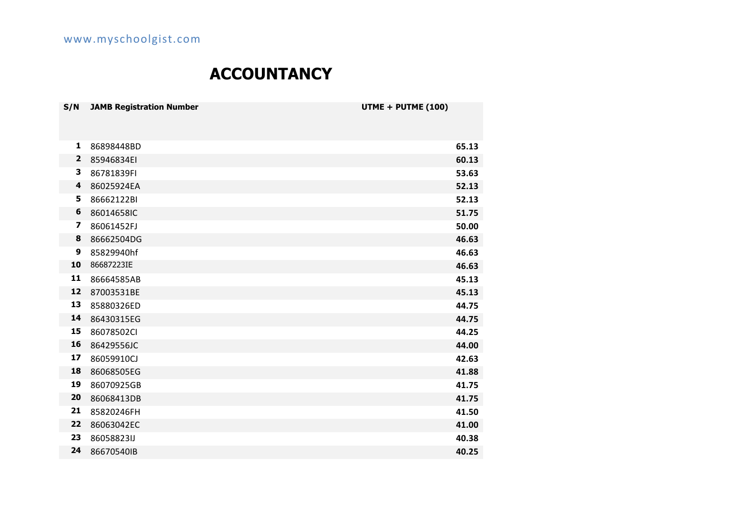# **ACCOUNTANCY**

| S/N                     | <b>JAMB Registration Number</b> | UTME + PUTME (100) |  |
|-------------------------|---------------------------------|--------------------|--|
|                         |                                 |                    |  |
| 1                       | 86898448BD                      | 65.13              |  |
| $\overline{2}$          | 85946834EI                      | 60.13              |  |
| 3                       | 86781839FI                      | 53.63              |  |
| 4                       | 86025924EA                      | 52.13              |  |
| 5                       | 86662122BI                      | 52.13              |  |
| 6                       | 86014658IC                      | 51.75              |  |
| $\overline{\mathbf{z}}$ | 86061452FJ                      | 50.00              |  |
| 8                       | 86662504DG                      | 46.63              |  |
| 9                       | 85829940hf                      | 46.63              |  |
| 10                      | 86687223IE                      | 46.63              |  |
| 11                      | 86664585AB                      | 45.13              |  |
| 12                      | 87003531BE                      | 45.13              |  |
| 13                      | 85880326ED                      | 44.75              |  |
| 14                      | 86430315EG                      | 44.75              |  |
| 15                      | 86078502Cl                      | 44.25              |  |
| 16                      | 86429556JC                      | 44.00              |  |
| 17                      | 86059910CJ                      | 42.63              |  |
| 18                      | 86068505EG                      | 41.88              |  |
| 19                      | 86070925GB                      | 41.75              |  |
| 20                      | 86068413DB                      | 41.75              |  |
| 21                      | 85820246FH                      | 41.50              |  |
| 22                      | 86063042EC                      | 41.00              |  |
| 23                      | 86058823IJ                      | 40.38              |  |
| 24                      | 86670540IB                      | 40.25              |  |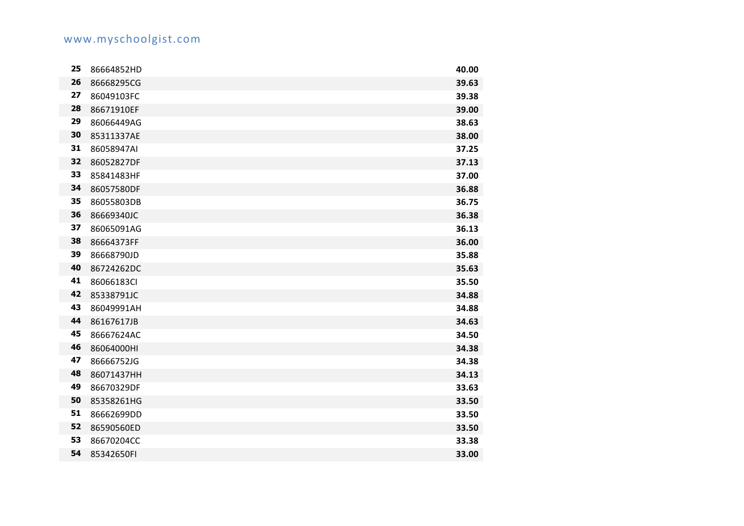| 25 | 86664852HD | 40.00 |
|----|------------|-------|
| 26 | 86668295CG | 39.63 |
| 27 | 86049103FC | 39.38 |
| 28 | 86671910EF | 39.00 |
| 29 | 86066449AG | 38.63 |
| 30 | 85311337AE | 38.00 |
| 31 | 86058947AI | 37.25 |
| 32 | 86052827DF | 37.13 |
| 33 | 85841483HF | 37.00 |
| 34 | 86057580DF | 36.88 |
| 35 | 86055803DB | 36.75 |
| 36 | 86669340JC | 36.38 |
| 37 | 86065091AG | 36.13 |
| 38 | 86664373FF | 36.00 |
| 39 | 86668790JD | 35.88 |
| 40 | 86724262DC | 35.63 |
| 41 | 86066183CI | 35.50 |
| 42 | 85338791JC | 34.88 |
| 43 | 86049991AH | 34.88 |
| 44 | 86167617JB | 34.63 |
| 45 | 86667624AC | 34.50 |
| 46 | 86064000HI | 34.38 |
| 47 | 86666752JG | 34.38 |
| 48 | 86071437HH | 34.13 |
| 49 | 86670329DF | 33.63 |
| 50 | 85358261HG | 33.50 |
| 51 | 86662699DD | 33.50 |
| 52 | 86590560ED | 33.50 |
| 53 | 86670204CC | 33.38 |
| 54 | 85342650FI | 33.00 |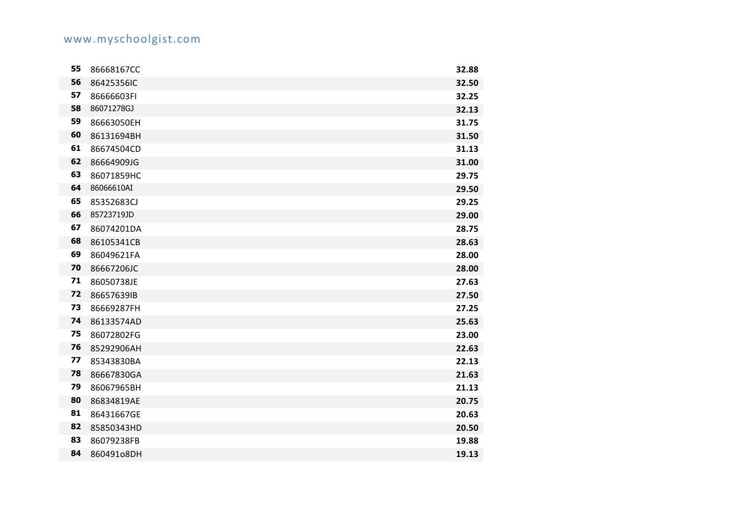| 55 | 86668167CC | 32.88 |
|----|------------|-------|
| 56 | 86425356IC | 32.50 |
| 57 | 86666603FI | 32.25 |
| 58 | 86071278GJ | 32.13 |
| 59 | 86663050EH | 31.75 |
| 60 | 86131694BH | 31.50 |
| 61 | 86674504CD | 31.13 |
| 62 | 86664909JG | 31.00 |
| 63 | 86071859HC | 29.75 |
| 64 | 86066610AI | 29.50 |
| 65 | 85352683CJ | 29.25 |
| 66 | 85723719JD | 29.00 |
| 67 | 86074201DA | 28.75 |
| 68 | 86105341CB | 28.63 |
| 69 | 86049621FA | 28.00 |
| 70 | 86667206JC | 28.00 |
| 71 | 86050738JE | 27.63 |
| 72 | 86657639IB | 27.50 |
| 73 | 86669287FH | 27.25 |
| 74 | 86133574AD | 25.63 |
| 75 | 86072802FG | 23.00 |
| 76 | 85292906AH | 22.63 |
| 77 | 85343830BA | 22.13 |
| 78 | 86667830GA | 21.63 |
| 79 | 86067965BH | 21.13 |
| 80 | 86834819AE | 20.75 |
| 81 | 86431667GE | 20.63 |
| 82 | 85850343HD | 20.50 |
| 83 | 86079238FB | 19.88 |
| 84 | 860491o8DH | 19.13 |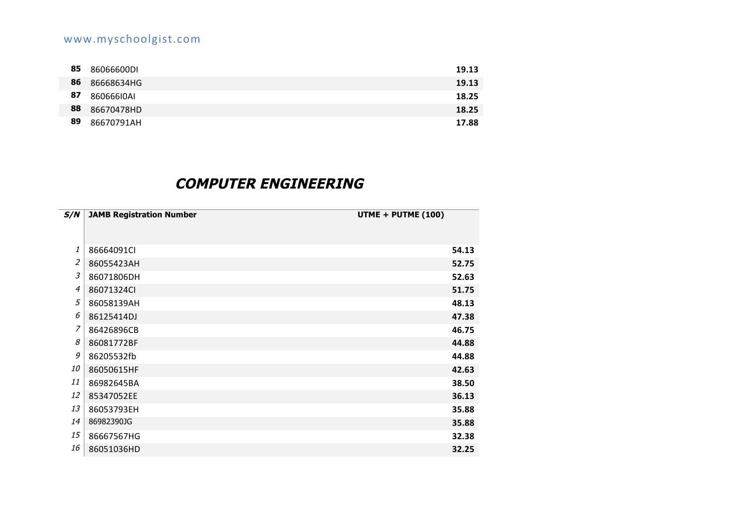| 85 | 86066600DI | 19.13 |
|----|------------|-------|
| 86 | 86668634HG | 19.13 |
| 87 | 86066610AI | 18.25 |
| 88 | 86670478HD | 18.25 |
| 89 | 86670791AH | 17.88 |

## **COMPUTER ENGINEERING**

| S/N | <b>JAMB Registration Number</b> | UTME + PUTME (100) |
|-----|---------------------------------|--------------------|
| 1   | 86664091Cl                      | 54.13              |
| 2   | 86055423AH                      | 52.75              |
| 3   | 86071806DH                      | 52.63              |
| 4   | 86071324Cl                      | 51.75              |
| 5   | 86058139AH                      | 48.13              |
| 6   | 86125414DJ                      | 47.38              |
| 7   | 86426896CB                      | 46.75              |
| 8   | 86081772BF                      | 44.88              |
| 9   | 86205532fb                      | 44.88              |
| 10  | 86050615HF                      | 42.63              |
| 11  | 86982645BA                      | 38.50              |
| 12  | 85347052EE                      | 36.13              |
| 13  | 86053793EH                      | 35.88              |
| 14  | 86982390JG                      | 35.88              |
| 15  | 86667567HG                      | 32.38              |
| 16  | 86051036HD                      | 32.25              |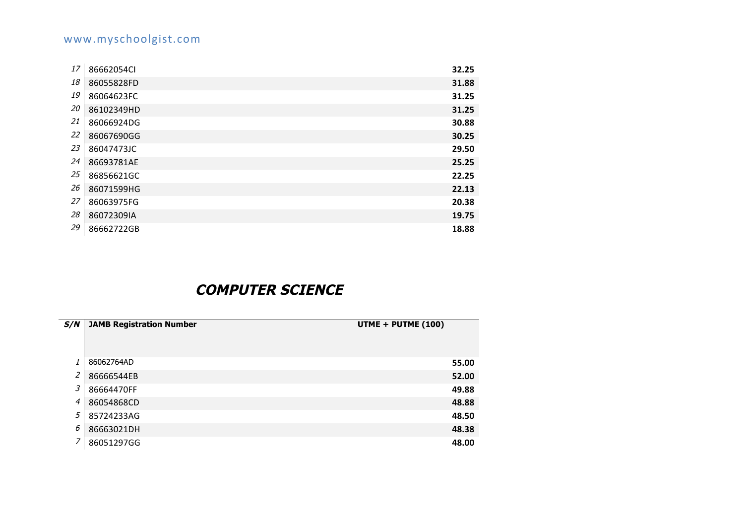| 17 | 86662054Cl | 32.25 |
|----|------------|-------|
| 18 | 86055828FD | 31.88 |
| 19 | 86064623FC | 31.25 |
| 20 | 86102349HD | 31.25 |
| 21 | 86066924DG | 30.88 |
| 22 | 86067690GG | 30.25 |
| 23 | 86047473JC | 29.50 |
| 24 | 86693781AE | 25.25 |
| 25 | 86856621GC | 22.25 |
| 26 | 86071599HG | 22.13 |
| 27 | 86063975FG | 20.38 |
| 28 | 86072309IA | 19.75 |
| 29 | 86662722GB | 18.88 |

## **COMPUTER SCIENCE**

| S/N            | <b>JAMB Registration Number</b> | UTME + PUTME (100) |
|----------------|---------------------------------|--------------------|
|                |                                 |                    |
|                | 86062764AD                      | 55.00              |
| $\overline{a}$ | 86666544EB                      | 52.00              |
| 3              | 86664470FF                      | 49.88              |
| 4              | 86054868CD                      | 48.88              |
| 5              | 85724233AG                      | 48.50              |
| 6              | 86663021DH                      | 48.38              |
| $\overline{ }$ | 86051297GG                      | 48.00              |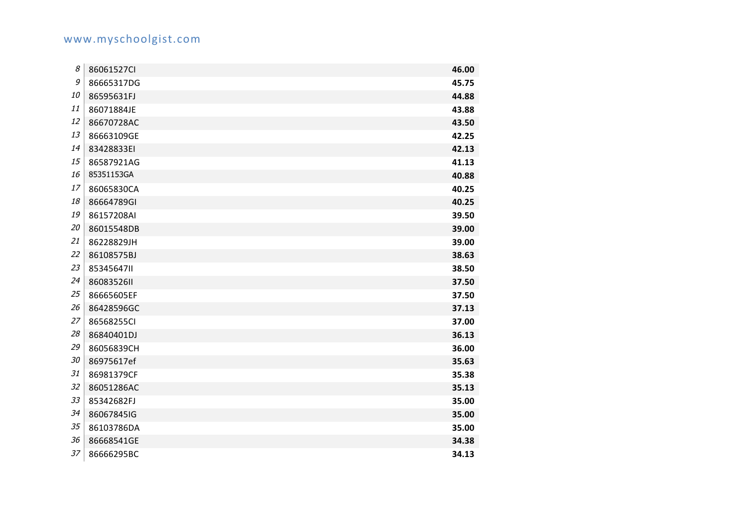| 8  | 86061527Cl | 46.00 |
|----|------------|-------|
| 9  | 86665317DG | 45.75 |
| 10 | 86595631FJ | 44.88 |
| 11 | 86071884JE | 43.88 |
| 12 | 86670728AC | 43.50 |
| 13 | 86663109GE | 42.25 |
| 14 | 83428833EI | 42.13 |
| 15 | 86587921AG | 41.13 |
| 16 | 85351153GA | 40.88 |
| 17 | 86065830CA | 40.25 |
| 18 | 86664789GI | 40.25 |
| 19 | 86157208AI | 39.50 |
| 20 | 86015548DB | 39.00 |
| 21 | 86228829JH | 39.00 |
| 22 | 86108575BJ | 38.63 |
| 23 | 8534564711 | 38.50 |
| 24 | 8608352611 | 37.50 |
| 25 | 86665605EF | 37.50 |
| 26 | 86428596GC | 37.13 |
| 27 | 86568255Cl | 37.00 |
| 28 | 86840401DJ | 36.13 |
| 29 | 86056839CH | 36.00 |
| 30 | 86975617ef | 35.63 |
| 31 | 86981379CF | 35.38 |
| 32 | 86051286AC | 35.13 |
| 33 | 85342682FJ | 35.00 |
| 34 | 86067845IG | 35.00 |
| 35 | 86103786DA | 35.00 |
| 36 | 86668541GE | 34.38 |
| 37 | 86666295BC | 34.13 |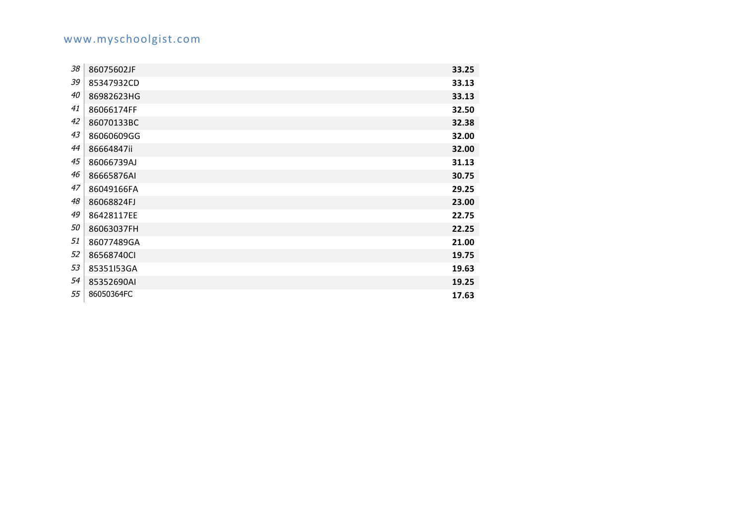| 38 | 86075602JF | 33.25 |
|----|------------|-------|
| 39 | 85347932CD | 33.13 |
| 40 | 86982623HG | 33.13 |
| 41 | 86066174FF | 32.50 |
| 42 | 86070133BC | 32.38 |
| 43 | 86060609GG | 32.00 |
| 44 | 86664847ii | 32.00 |
| 45 | 86066739AJ | 31.13 |
| 46 | 86665876AI | 30.75 |
| 47 | 86049166FA | 29.25 |
| 48 | 86068824FJ | 23.00 |
| 49 | 86428117EE | 22.75 |
| 50 | 86063037FH | 22.25 |
| 51 | 86077489GA | 21.00 |
| 52 | 86568740Cl | 19.75 |
| 53 | 85351153GA | 19.63 |
| 54 | 85352690AI | 19.25 |
| 55 | 86050364FC | 17.63 |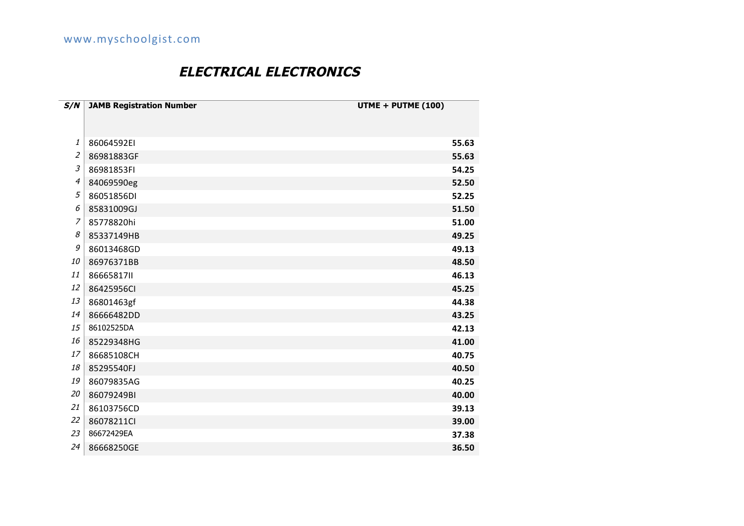## **ELECTRICAL ELECTRONICS**

| S/N            | <b>JAMB Registration Number</b> | UTME + PUTME (100) |
|----------------|---------------------------------|--------------------|
|                |                                 |                    |
|                |                                 |                    |
| 1              | 86064592EI                      | 55.63              |
| $\overline{a}$ | 86981883GF                      | 55.63              |
| 3              | 86981853FI                      | 54.25              |
| 4              | 84069590eg                      | 52.50              |
| 5              | 86051856DI                      | 52.25              |
| 6              | 85831009GJ                      | 51.50              |
| 7              | 85778820hi                      | 51.00              |
| 8              | 85337149HB                      | 49.25              |
| 9              | 86013468GD                      | 49.13              |
| 10             | 86976371BB                      | 48.50              |
| 11             | 86665817II                      | 46.13              |
| 12             | 86425956Cl                      | 45.25              |
| 13             | 86801463gf                      | 44.38              |
| 14             | 86666482DD                      | 43.25              |
| 15             | 86102525DA                      | 42.13              |
| 16             | 85229348HG                      | 41.00              |
| 17             | 86685108CH                      | 40.75              |
| 18             | 85295540FJ                      | 40.50              |
| 19             | 86079835AG                      | 40.25              |
| 20             | 86079249BI                      | 40.00              |
| 21             | 86103756CD                      | 39.13              |
| 22             | 86078211Cl                      | 39.00              |
| 23             | 86672429EA                      | 37.38              |
| 24             | 86668250GE                      | 36.50              |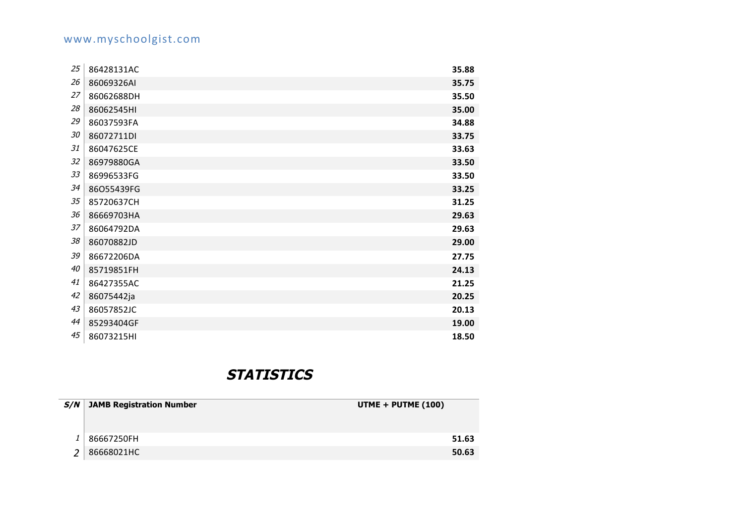| 25 | 86428131AC | 35.88 |
|----|------------|-------|
| 26 | 86069326AI | 35.75 |
| 27 | 86062688DH | 35.50 |
| 28 | 86062545HI | 35.00 |
| 29 | 86037593FA | 34.88 |
| 30 | 86072711DI | 33.75 |
| 31 | 86047625CE | 33.63 |
| 32 | 86979880GA | 33.50 |
| 33 | 86996533FG | 33.50 |
| 34 | 86O55439FG | 33.25 |
| 35 | 85720637CH | 31.25 |
| 36 | 86669703HA | 29.63 |
| 37 | 86064792DA | 29.63 |
| 38 | 86070882JD | 29.00 |
| 39 | 86672206DA | 27.75 |
| 40 | 85719851FH | 24.13 |
| 41 | 86427355AC | 21.25 |
| 42 | 86075442ja | 20.25 |
| 43 | 86057852JC | 20.13 |
| 44 | 85293404GF | 19.00 |
| 45 | 86073215HI | 18.50 |

#### **STATISTICS**

| S/N | <b>JAMB Registration Number</b> | UTME + PUTME (100) |
|-----|---------------------------------|--------------------|
|     |                                 |                    |
|     | 86667250FH                      | 51.63              |
|     | 86668021HC                      | 50.63              |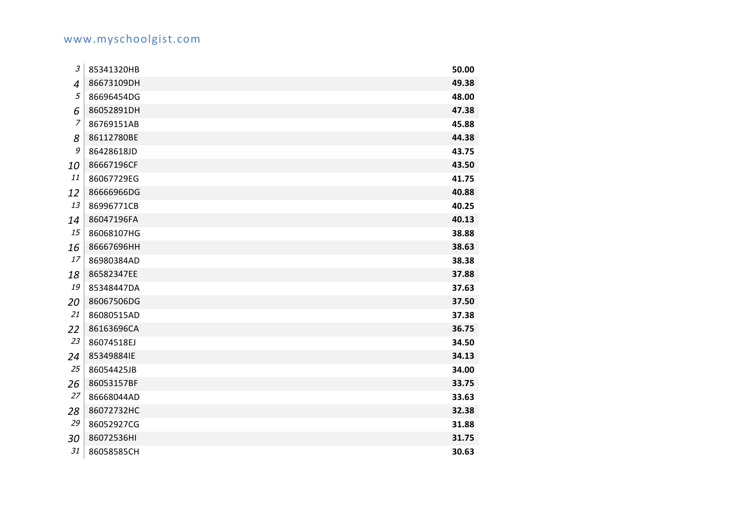| 3              | 85341320HB | 50.00 |
|----------------|------------|-------|
| 4              | 86673109DH | 49.38 |
| 5              | 86696454DG | 48.00 |
| 6              | 86052891DH | 47.38 |
| $\overline{z}$ | 86769151AB | 45.88 |
| 8              | 86112780BE | 44.38 |
| 9              | 86428618JD | 43.75 |
| 10             | 86667196CF | 43.50 |
| 11             | 86067729EG | 41.75 |
| 12             | 86666966DG | 40.88 |
| 13             | 86996771CB | 40.25 |
| 14             | 86047196FA | 40.13 |
| 15             | 86068107HG | 38.88 |
| 16             | 86667696HH | 38.63 |
| 17             | 86980384AD | 38.38 |
| 18             | 86582347EE | 37.88 |
| 19             | 85348447DA | 37.63 |
| 20             | 86067506DG | 37.50 |
| 21             | 86080515AD | 37.38 |
| 22             | 86163696CA | 36.75 |
| 23             | 86074518EJ | 34.50 |
| 24             | 85349884IE | 34.13 |
| 25             | 86054425JB | 34.00 |
| 26             | 86053157BF | 33.75 |
| 27             | 86668044AD | 33.63 |
| 28             | 86072732HC | 32.38 |
| 29             | 86052927CG | 31.88 |
| 30             | 86072536HI | 31.75 |
| 31             | 86058585CH | 30.63 |